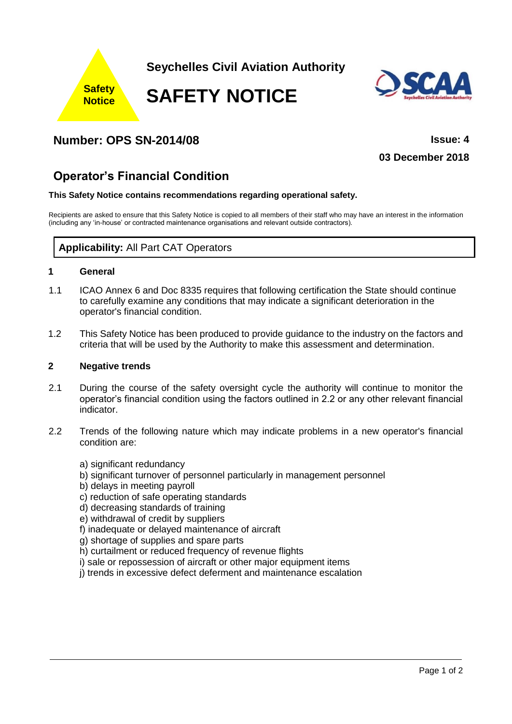

## **Number: OPS SN-2014/08 Issue: 4**

**03 December 2018**

# **Operator's Financial Condition**

#### **This Safety Notice contains recommendations regarding operational safety.**

Recipients are asked to ensure that this Safety Notice is copied to all members of their staff who may have an interest in the information (including any 'in-house' or contracted maintenance organisations and relevant outside contractors).

## **Applicability:** All Part CAT Operators

#### **1 General**

- 1.1 ICAO Annex 6 and Doc 8335 requires that following certification the State should continue to carefully examine any conditions that may indicate a significant deterioration in the operator's financial condition.
- 1.2 This Safety Notice has been produced to provide guidance to the industry on the factors and criteria that will be used by the Authority to make this assessment and determination.

## **2 Negative trends**

- 2.1 During the course of the safety oversight cycle the authority will continue to monitor the operator's financial condition using the factors outlined in 2.2 or any other relevant financial indicator.
- 2.2 Trends of the following nature which may indicate problems in a new operator's financial condition are:
	- a) significant redundancy
	- b) significant turnover of personnel particularly in management personnel
	- b) delays in meeting payroll
	- c) reduction of safe operating standards
	- d) decreasing standards of training
	- e) withdrawal of credit by suppliers
	- f) inadequate or delayed maintenance of aircraft
	- g) shortage of supplies and spare parts
	- h) curtailment or reduced frequency of revenue flights
	- i) sale or repossession of aircraft or other major equipment items
	- j) trends in excessive defect deferment and maintenance escalation